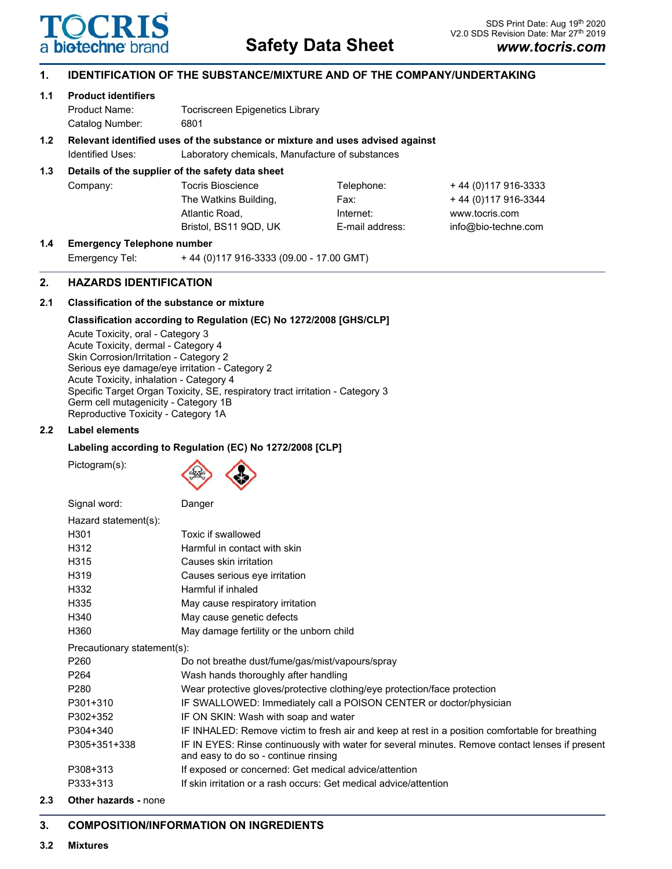

# **1. IDENTIFICATION OF THE SUBSTANCE/MIXTURE AND OF THE COMPANY/UNDERTAKING**

# **1.1 Product identifiers**

Product Name: Tocriscreen Epigenetics Library Catalog Number: 6801

# **1.2 Relevant identified uses of the substance or mixture and uses advised against**

Identified Uses: Laboratory chemicals, Manufacture of substances

# **1.3 Details of the supplier of the safety data sheet**

| Company: | Tocris Bioscience     | Telephone:      | + 44 (0) 117 916-3333 |
|----------|-----------------------|-----------------|-----------------------|
|          | The Watkins Building, | Fax:            | + 44 (0) 117 916-3344 |
|          | Atlantic Road,        | Internet:       | www.tocris.com        |
|          | Bristol. BS11 9QD. UK | E-mail address: | info@bio-techne.com   |
|          |                       |                 |                       |

# **1.4 Emergency Telephone number**

Emergency Tel: + 44 (0)117 916-3333 (09.00 - 17.00 GMT)

# **2. HAZARDS IDENTIFICATION**

# **2.1 Classification of the substance or mixture**

# **Classification according to Regulation (EC) No 1272/2008 [GHS/CLP]**

Acute Toxicity, oral - Category 3 Acute Toxicity, dermal - Category 4 Skin Corrosion/Irritation - Category 2 Serious eye damage/eye irritation - Category 2 Acute Toxicity, inhalation - Category 4 Specific Target Organ Toxicity, SE, respiratory tract irritation - Category 3 Germ cell mutagenicity - Category 1B Reproductive Toxicity - Category 1A

# **2.2 Label elements**

# **Labeling according to Regulation (EC) No 1272/2008 [CLP]**

Pictogram(s):



Signal word: Danger

| Hazard statement(s):        |                                                                                                                                         |
|-----------------------------|-----------------------------------------------------------------------------------------------------------------------------------------|
| H <sub>301</sub>            | Toxic if swallowed                                                                                                                      |
| H312                        | Harmful in contact with skin                                                                                                            |
| H315                        | Causes skin irritation                                                                                                                  |
| H319                        | Causes serious eye irritation                                                                                                           |
| H332                        | Harmful if inhaled                                                                                                                      |
| H335                        | May cause respiratory irritation                                                                                                        |
| H340                        | May cause genetic defects                                                                                                               |
| H360                        | May damage fertility or the unborn child                                                                                                |
| Precautionary statement(s): |                                                                                                                                         |
| P <sub>260</sub>            | Do not breathe dust/fume/gas/mist/vapours/spray                                                                                         |
| P <sub>264</sub>            | Wash hands thoroughly after handling                                                                                                    |
| P280                        | Wear protective gloves/protective clothing/eye protection/face protection                                                               |
| P301+310                    | IF SWALLOWED: Immediately call a POISON CENTER or doctor/physician                                                                      |
| P302+352                    | IF ON SKIN: Wash with soap and water                                                                                                    |
| P304+340                    | IF INHALED: Remove victim to fresh air and keep at rest in a position comfortable for breathing                                         |
| P305+351+338                | IF IN EYES: Rinse continuously with water for several minutes. Remove contact lenses if present<br>and easy to do so - continue rinsing |
| P308+313                    | If exposed or concerned: Get medical advice/attention                                                                                   |
| P333+313                    | If skin irritation or a rash occurs: Get medical advice/attention                                                                       |
|                             |                                                                                                                                         |

## **2.3 Other hazards -** none

## **3. COMPOSITION/INFORMATION ON INGREDIENTS**

**3.2 Mixtures**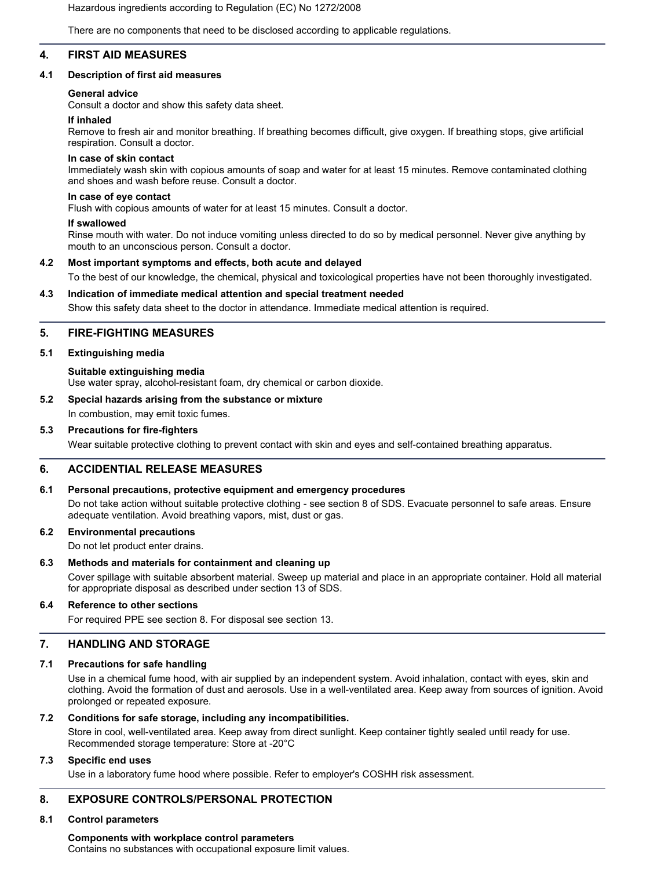Hazardous ingredients according to Regulation (EC) No 1272/2008

There are no components that need to be disclosed according to applicable regulations.

## **4. FIRST AID MEASURES**

## **4.1 Description of first aid measures**

## **General advice**

Consult a doctor and show this safety data sheet.

### **If inhaled**

Remove to fresh air and monitor breathing. If breathing becomes difficult, give oxygen. If breathing stops, give artificial respiration. Consult a doctor.

### **In case of skin contact**

Immediately wash skin with copious amounts of soap and water for at least 15 minutes. Remove contaminated clothing and shoes and wash before reuse. Consult a doctor.

### **In case of eye contact**

Flush with copious amounts of water for at least 15 minutes. Consult a doctor.

### **If swallowed**

Rinse mouth with water. Do not induce vomiting unless directed to do so by medical personnel. Never give anything by mouth to an unconscious person. Consult a doctor.

## **4.2 Most important symptoms and effects, both acute and delayed**

To the best of our knowledge, the chemical, physical and toxicological properties have not been thoroughly investigated.

### **4.3 Indication of immediate medical attention and special treatment needed**

Show this safety data sheet to the doctor in attendance. Immediate medical attention is required.

## **5. FIRE-FIGHTING MEASURES**

### **5.1 Extinguishing media**

### **Suitable extinguishing media**

Use water spray, alcohol-resistant foam, dry chemical or carbon dioxide.

## **5.2 Special hazards arising from the substance or mixture**

## In combustion, may emit toxic fumes.

### **5.3 Precautions for fire-fighters**

Wear suitable protective clothing to prevent contact with skin and eyes and self-contained breathing apparatus.

## **6. ACCIDENTIAL RELEASE MEASURES**

## **6.1 Personal precautions, protective equipment and emergency procedures**

Do not take action without suitable protective clothing - see section 8 of SDS. Evacuate personnel to safe areas. Ensure adequate ventilation. Avoid breathing vapors, mist, dust or gas.

## **6.2 Environmental precautions**

Do not let product enter drains.

### **6.3 Methods and materials for containment and cleaning up**

Cover spillage with suitable absorbent material. Sweep up material and place in an appropriate container. Hold all material for appropriate disposal as described under section 13 of SDS.

## **6.4 Reference to other sections**

For required PPE see section 8. For disposal see section 13.

## **7. HANDLING AND STORAGE**

## **7.1 Precautions for safe handling**

Use in a chemical fume hood, with air supplied by an independent system. Avoid inhalation, contact with eyes, skin and clothing. Avoid the formation of dust and aerosols. Use in a well-ventilated area. Keep away from sources of ignition. Avoid prolonged or repeated exposure.

## **7.2 Conditions for safe storage, including any incompatibilities.**

Store in cool, well-ventilated area. Keep away from direct sunlight. Keep container tightly sealed until ready for use. Recommended storage temperature: Store at -20°C

## **7.3 Specific end uses**

Use in a laboratory fume hood where possible. Refer to employer's COSHH risk assessment.

## **8. EXPOSURE CONTROLS/PERSONAL PROTECTION**

## **8.1 Control parameters**

**Components with workplace control parameters** Contains no substances with occupational exposure limit values.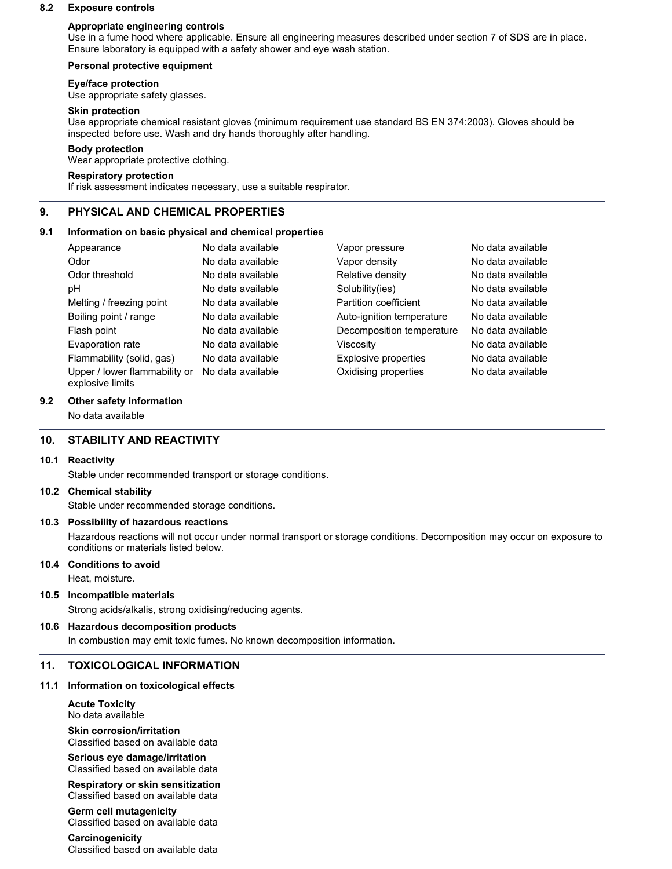### **8.2 Exposure controls**

### **Appropriate engineering controls**

Use in a fume hood where applicable. Ensure all engineering measures described under section 7 of SDS are in place. Ensure laboratory is equipped with a safety shower and eye wash station.

### **Personal protective equipment**

### **Eye/face protection**

Use appropriate safety glasses.

#### **Skin protection**

Use appropriate chemical resistant gloves (minimum requirement use standard BS EN 374:2003). Gloves should be inspected before use. Wash and dry hands thoroughly after handling.

### **Body protection**

Wear appropriate protective clothing.

## **Respiratory protection**

If risk assessment indicates necessary, use a suitable respirator.

## **9. PHYSICAL AND CHEMICAL PROPERTIES**

### **9.1 Information on basic physical and chemical properties**

| Appearance                                        | No data available | Vapor pressure            | No data available |
|---------------------------------------------------|-------------------|---------------------------|-------------------|
| Odor                                              | No data available | Vapor density             | No data available |
| Odor threshold                                    | No data available | Relative density          | No data available |
| рH                                                | No data available | Solubility(ies)           | No data available |
| Melting / freezing point                          | No data available | Partition coefficient     | No data available |
| Boiling point / range                             | No data available | Auto-ignition temperature | No data available |
| Flash point                                       | No data available | Decomposition temperature | No data available |
| Evaporation rate                                  | No data available | Viscositv                 | No data available |
| Flammability (solid, gas)                         | No data available | Explosive properties      | No data available |
| Upper / lower flammability or<br>explosive limits | No data available | Oxidising properties      | No data available |

### **9.2 Other safety information**

No data available

## **10. STABILITY AND REACTIVITY**

#### **10.1 Reactivity**

Stable under recommended transport or storage conditions.

#### **10.2 Chemical stability**

Stable under recommended storage conditions.

### **10.3 Possibility of hazardous reactions**

Hazardous reactions will not occur under normal transport or storage conditions. Decomposition may occur on exposure to conditions or materials listed below.

#### **10.4 Conditions to avoid**

Heat, moisture.

## **10.5 Incompatible materials**

Strong acids/alkalis, strong oxidising/reducing agents.

## **10.6 Hazardous decomposition products**

In combustion may emit toxic fumes. No known decomposition information.

### **11. TOXICOLOGICAL INFORMATION**

#### **11.1 Information on toxicological effects**

**Acute Toxicity** No data available

**Skin corrosion/irritation** Classified based on available data

#### **Serious eye damage/irritation** Classified based on available data

**Respiratory or skin sensitization** Classified based on available data

**Germ cell mutagenicity** Classified based on available data

**Carcinogenicity** Classified based on available data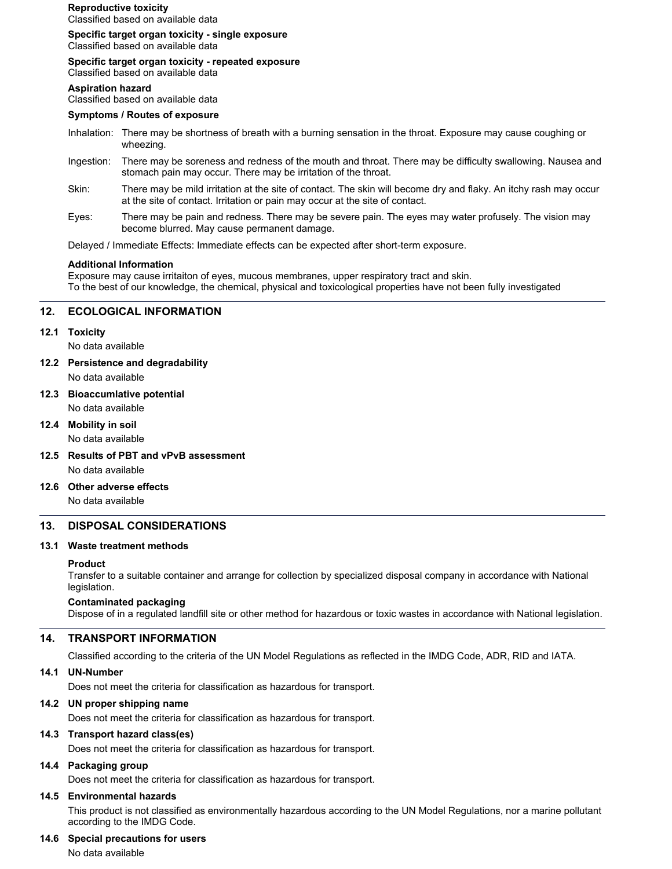## **Reproductive toxicity**

Classified based on available data

**Specific target organ toxicity - single exposure**

Classified based on available data

**Specific target organ toxicity - repeated exposure**

Classified based on available data

## **Aspiration hazard**

Classified based on available data

### **Symptoms / Routes of exposure**

- Inhalation: There may be shortness of breath with a burning sensation in the throat. Exposure may cause coughing or wheezing.
- Ingestion: There may be soreness and redness of the mouth and throat. There may be difficulty swallowing. Nausea and stomach pain may occur. There may be irritation of the throat.
- Skin: There may be mild irritation at the site of contact. The skin will become dry and flaky. An itchy rash may occur at the site of contact. Irritation or pain may occur at the site of contact.
- Eyes: There may be pain and redness. There may be severe pain. The eyes may water profusely. The vision may become blurred. May cause permanent damage.

Delayed / Immediate Effects: Immediate effects can be expected after short-term exposure.

### **Additional Information**

Exposure may cause irritaiton of eyes, mucous membranes, upper respiratory tract and skin. To the best of our knowledge, the chemical, physical and toxicological properties have not been fully investigated

## **12. ECOLOGICAL INFORMATION**

### **12.1 Toxicity**

No data available

- **12.2 Persistence and degradability**
	- No data available
- **12.3 Bioaccumlative potential** No data available
- **12.4 Mobility in soil**

No data available

- **12.5 Results of PBT and vPvB assessment** No data available
- **12.6 Other adverse effects** No data available

## **13. DISPOSAL CONSIDERATIONS**

## **13.1 Waste treatment methods**

### **Product**

Transfer to a suitable container and arrange for collection by specialized disposal company in accordance with National legislation.

## **Contaminated packaging**

Dispose of in a regulated landfill site or other method for hazardous or toxic wastes in accordance with National legislation.

## **14. TRANSPORT INFORMATION**

Classified according to the criteria of the UN Model Regulations as reflected in the IMDG Code, ADR, RID and IATA.

## **14.1 UN-Number**

Does not meet the criteria for classification as hazardous for transport.

## **14.2 UN proper shipping name**

Does not meet the criteria for classification as hazardous for transport.

## **14.3 Transport hazard class(es)**

Does not meet the criteria for classification as hazardous for transport.

## **14.4 Packaging group**

Does not meet the criteria for classification as hazardous for transport.

## **14.5 Environmental hazards**

This product is not classified as environmentally hazardous according to the UN Model Regulations, nor a marine pollutant according to the IMDG Code.

### **14.6 Special precautions for users**

No data available